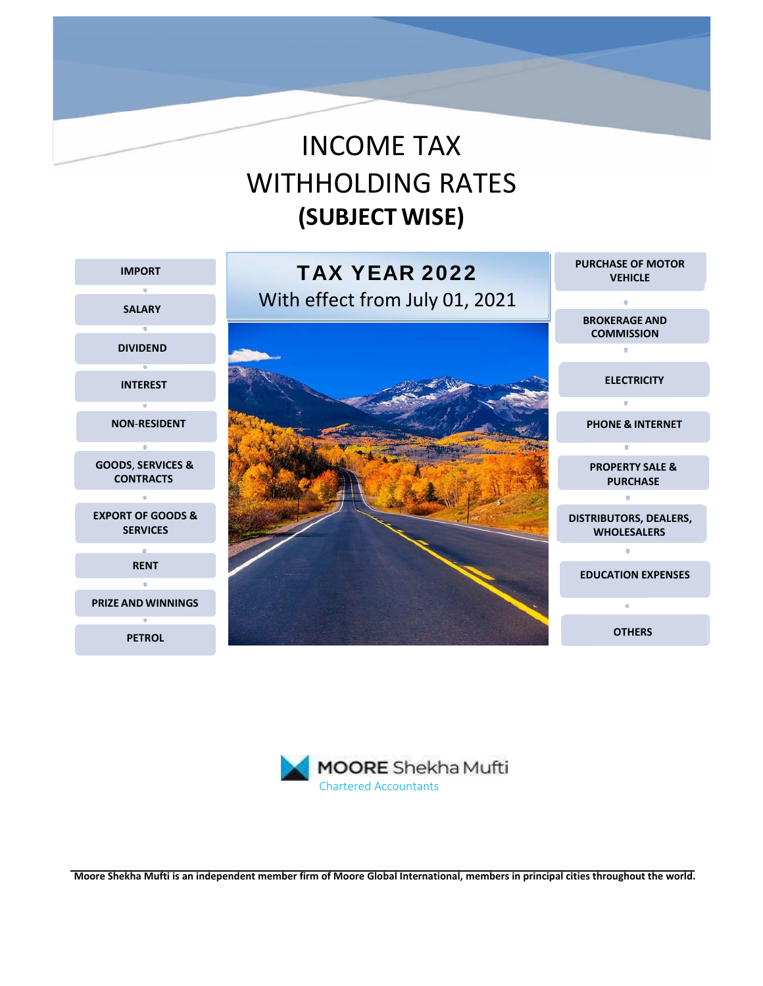# INCOME TAX WITHHOLDING RATES **(SUBJECT WISE)**





**Moore Shekha Mufti is an independent member firm of Moore Global International, members in principal cities throughout the world.**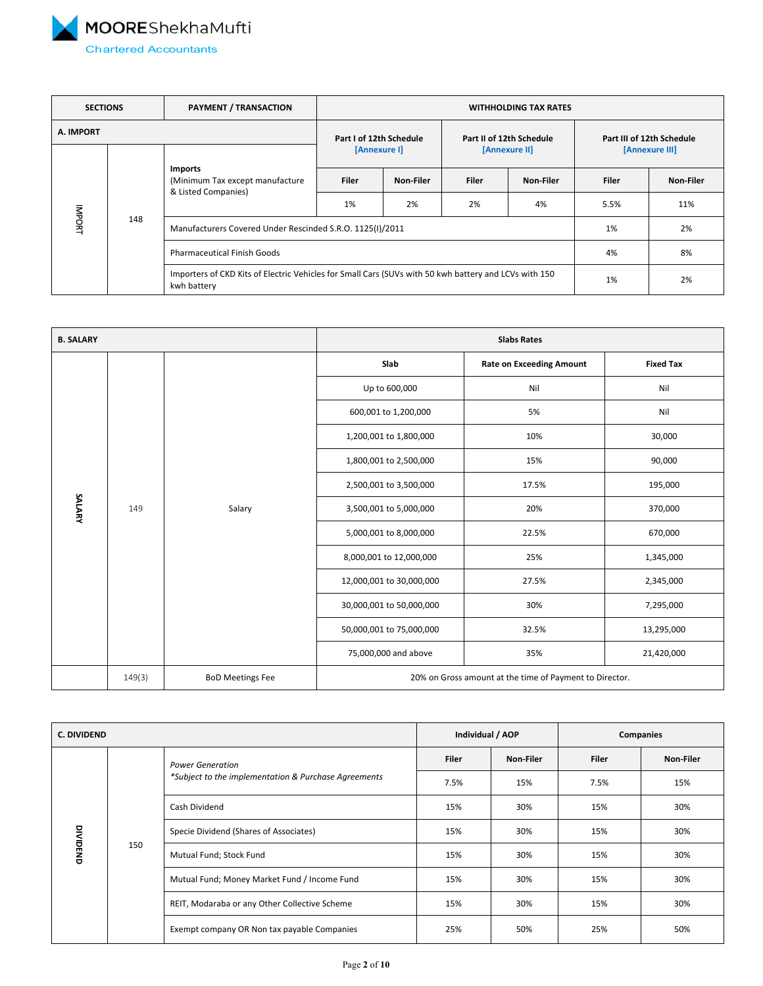<span id="page-1-0"></span>

| <b>SECTIONS</b> |     | <b>PAYMENT / TRANSACTION</b>                                      | <b>WITHHOLDING TAX RATES</b>                                                                          |              |                          |                           |                |           |
|-----------------|-----|-------------------------------------------------------------------|-------------------------------------------------------------------------------------------------------|--------------|--------------------------|---------------------------|----------------|-----------|
| A. IMPORT       |     | Part I of 12th Schedule                                           |                                                                                                       |              | Part II of 12th Schedule | Part III of 12th Schedule |                |           |
|                 |     |                                                                   |                                                                                                       | [Annexure I] |                          | [Annexure II]             | [Annexure III] |           |
|                 |     | Imports<br>(Minimum Tax except manufacture<br>& Listed Companies) | <b>Filer</b>                                                                                          | Non-Filer    | <b>Filer</b>             | Non-Filer                 | <b>Filer</b>   | Non-Filer |
|                 |     |                                                                   | 1%                                                                                                    | 2%           | 2%                       | 4%                        | 5.5%           | 11%       |
| INDONI          | 148 | Manufacturers Covered Under Rescinded S.R.O. 1125(I)/2011         | 1%                                                                                                    | 2%           |                          |                           |                |           |
|                 |     | <b>Pharmaceutical Finish Goods</b>                                |                                                                                                       |              |                          |                           | 4%             | 8%        |
|                 |     | kwh battery                                                       | Importers of CKD Kits of Electric Vehicles for Small Cars (SUVs with 50 kwh battery and LCVs with 150 |              |                          | 1%                        | 2%             |           |

| <b>B. SALARY</b> |        |                         |                                                         | <b>Slabs Rates</b>              |                  |  |  |
|------------------|--------|-------------------------|---------------------------------------------------------|---------------------------------|------------------|--|--|
|                  |        |                         | Slab                                                    | <b>Rate on Exceeding Amount</b> | <b>Fixed Tax</b> |  |  |
|                  |        |                         | Up to 600,000                                           | Nil                             | Nil              |  |  |
|                  |        |                         | 600,001 to 1,200,000                                    | 5%                              | Nil              |  |  |
|                  |        | Salary                  | 1,200,001 to 1,800,000                                  | 10%                             | 30,000           |  |  |
|                  |        |                         | 1,800,001 to 2,500,000                                  | 15%                             | 90,000           |  |  |
|                  |        |                         | 2,500,001 to 3,500,000                                  | 17.5%                           | 195,000          |  |  |
| SALARY           | 149    |                         | 3,500,001 to 5,000,000                                  | 20%                             | 370,000          |  |  |
|                  |        |                         | 5,000,001 to 8,000,000                                  | 22.5%                           | 670,000          |  |  |
|                  |        |                         | 8,000,001 to 12,000,000                                 | 25%                             | 1,345,000        |  |  |
|                  |        |                         | 12,000,001 to 30,000,000                                | 27.5%                           | 2,345,000        |  |  |
|                  |        |                         | 30,000,001 to 50,000,000                                | 30%                             | 7,295,000        |  |  |
|                  |        |                         | 50,000,001 to 75,000,000                                | 32.5%                           | 13,295,000       |  |  |
|                  |        |                         | 75,000,000 and above                                    | 35%                             | 21,420,000       |  |  |
|                  | 149(3) | <b>BoD Meetings Fee</b> | 20% on Gross amount at the time of Payment to Director. |                                 |                  |  |  |

| C. DIVIDEND     |     |                                                      | Individual / AOP |           | Companies    |           |
|-----------------|-----|------------------------------------------------------|------------------|-----------|--------------|-----------|
|                 |     | <b>Power Generation</b>                              | <b>Filer</b>     | Non-Filer | <b>Filer</b> | Non-Filer |
|                 | 150 | *Subject to the implementation & Purchase Agreements | 7.5%             | 15%       | 7.5%         | 15%       |
|                 |     | Cash Dividend                                        | 15%              | 30%       | 15%          | 30%       |
|                 |     | Specie Dividend (Shares of Associates)               | 15%              | 30%       | 15%          | 30%       |
| <b>DIVIDEND</b> |     | Mutual Fund; Stock Fund                              | 15%              | 30%       | 15%          | 30%       |
|                 |     | Mutual Fund; Money Market Fund / Income Fund         | 15%              | 30%       | 15%          | 30%       |
|                 |     | REIT, Modaraba or any Other Collective Scheme        | 15%              | 30%       | 15%          | 30%       |
|                 |     | Exempt company OR Non tax payable Companies          | 25%              | 50%       | 25%          | 50%       |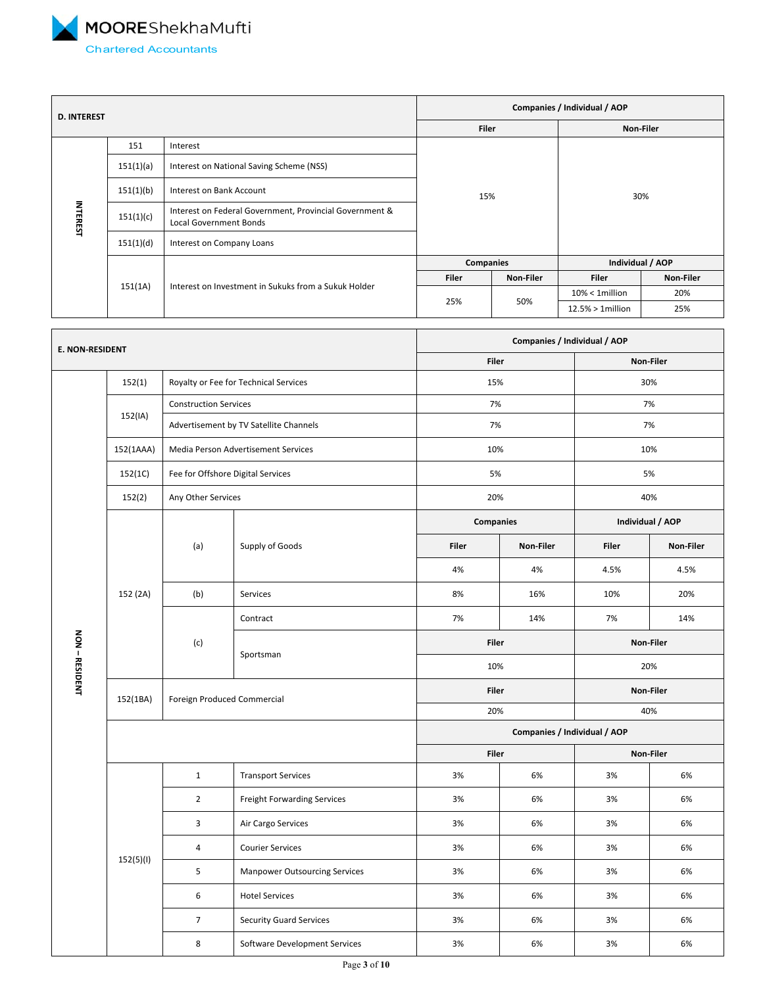<span id="page-2-0"></span>

| <b>D. INTEREST</b> |           |                                                                                          |              | Companies / Individual / AOP |                     |           |  |  |
|--------------------|-----------|------------------------------------------------------------------------------------------|--------------|------------------------------|---------------------|-----------|--|--|
|                    |           |                                                                                          | <b>Filer</b> |                              | Non-Filer           |           |  |  |
|                    | 151       | Interest                                                                                 |              |                              |                     |           |  |  |
|                    | 151(1)(a) | Interest on National Saving Scheme (NSS)                                                 | 15%          |                              | 30%                 |           |  |  |
|                    | 151(1)(b) | Interest on Bank Account                                                                 |              |                              |                     |           |  |  |
| <b>INTEREST</b>    | 151(1)(c) | Interest on Federal Government, Provincial Government &<br><b>Local Government Bonds</b> |              |                              |                     |           |  |  |
|                    | 151(1)(d) | Interest on Company Loans                                                                |              |                              |                     |           |  |  |
|                    |           |                                                                                          | Companies    |                              | Individual / AOP    |           |  |  |
|                    |           |                                                                                          | <b>Filer</b> | Non-Filer                    | <b>Filer</b>        | Non-Filer |  |  |
|                    | 151(1A)   | Interest on Investment in Sukuks from a Sukuk Holder                                     |              |                              | $10\% < 1$ million  | 20%       |  |  |
|                    |           |                                                                                          | 25%          | 50%                          | $12.5% > 1$ million | 25%       |  |  |

| <b>E. NON-RESIDENT</b> |           |                                   |                                        | Companies / Individual / AOP |           |                  |           |
|------------------------|-----------|-----------------------------------|----------------------------------------|------------------------------|-----------|------------------|-----------|
|                        |           |                                   |                                        | Filer                        |           | Non-Filer        |           |
|                        | 152(1)    |                                   | Royalty or Fee for Technical Services  | 15%                          |           | 30%              |           |
|                        |           | <b>Construction Services</b>      |                                        | 7%                           |           | 7%               |           |
|                        | 152(IA)   |                                   | Advertisement by TV Satellite Channels | 7%                           |           | 7%               |           |
|                        | 152(1AAA) |                                   | Media Person Advertisement Services    | 10%                          |           | 10%              |           |
|                        | 152(1C)   | Fee for Offshore Digital Services |                                        | 5%                           |           | 5%               |           |
|                        | 152(2)    | Any Other Services                |                                        | 20%                          |           | 40%              |           |
|                        |           |                                   |                                        | <b>Companies</b>             |           | Individual / AOP |           |
|                        | 152 (2A)  | (a)                               | Supply of Goods                        | Filer                        | Non-Filer | <b>Filer</b>     | Non-Filer |
|                        |           |                                   |                                        | 4%                           | 4%        | 4.5%             | 4.5%      |
|                        |           | (b)                               | Services                               | 8%                           | 16%       | 10%              | 20%       |
|                        |           |                                   | Contract                               | 7%                           | 14%       | 7%               | 14%       |
|                        |           | (c)                               | Sportsman                              | <b>Filer</b>                 |           |                  | Non-Filer |
| NON - RESIDENT         |           |                                   |                                        | 10%                          |           | 20%              |           |
|                        | 152(1BA)  | Foreign Produced Commercial       |                                        | <b>Filer</b>                 |           |                  | Non-Filer |
|                        |           |                                   |                                        | 20%                          |           | 40%              |           |
|                        |           |                                   |                                        | Companies / Individual / AOP |           |                  |           |
|                        |           |                                   |                                        | Filer                        |           |                  | Non-Filer |
|                        |           | $\mathbf{1}$                      | <b>Transport Services</b>              | 3%                           | 6%        | 3%               | 6%        |
|                        |           | $\overline{2}$                    | Freight Forwarding Services            | 3%                           | 6%        | 3%               | 6%        |
|                        |           | $\overline{\mathbf{3}}$           | Air Cargo Services                     | 3%                           | 6%        | 3%               | 6%        |
|                        |           | $\overline{4}$                    | <b>Courier Services</b>                | 3%                           | 6%        | 3%               | 6%        |
|                        | 152(5)(1) | 5                                 | <b>Manpower Outsourcing Services</b>   | 3%                           | 6%        | 3%               | 6%        |
|                        |           | 6                                 | <b>Hotel Services</b>                  | 3%                           | 6%        | 3%               | 6%        |
|                        |           | $\overline{7}$                    | <b>Security Guard Services</b>         | 3%                           | 6%        | 3%               | 6%        |
|                        |           | 8                                 | Software Development Services          | 3%                           | 6%        | 3%               | 6%        |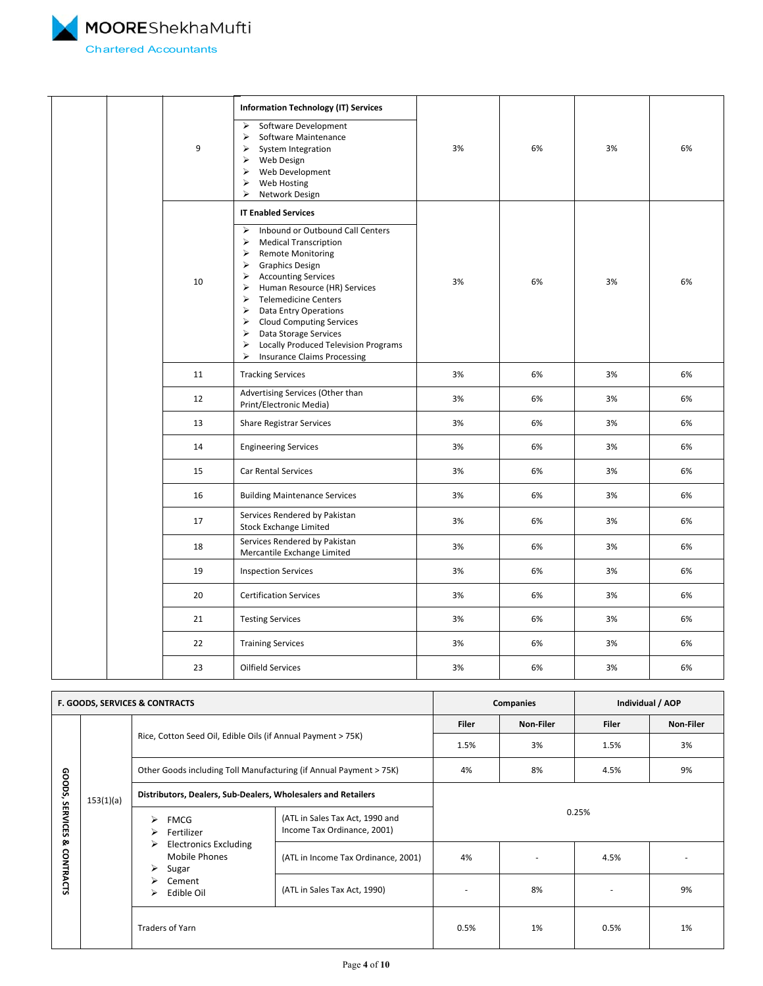<span id="page-3-0"></span>

|  | 9  | <b>Information Technology (IT) Services</b><br>Software Development<br>$\blacktriangleright$<br>$\blacktriangleright$<br>Software Maintenance<br>$\blacktriangleright$<br>System Integration<br>Web Design<br>$\blacktriangleright$<br>$\blacktriangleright$<br>Web Development<br>$\blacktriangleright$<br>Web Hosting<br>$\blacktriangleright$<br>Network Design                                                                                                                                                                                      | 3% | 6% | 3% | 6% |
|--|----|---------------------------------------------------------------------------------------------------------------------------------------------------------------------------------------------------------------------------------------------------------------------------------------------------------------------------------------------------------------------------------------------------------------------------------------------------------------------------------------------------------------------------------------------------------|----|----|----|----|
|  |    | <b>IT Enabled Services</b><br>$\blacktriangleright$<br>Inbound or Outbound Call Centers                                                                                                                                                                                                                                                                                                                                                                                                                                                                 |    |    |    |    |
|  | 10 | $\blacktriangleright$<br><b>Medical Transcription</b><br>$\triangleright$<br><b>Remote Monitoring</b><br>$\triangleright$ Graphics Design<br>$\triangleright$ Accounting Services<br>Human Resource (HR) Services<br>➤<br>$\blacktriangleright$<br><b>Telemedicine Centers</b><br>$\blacktriangleright$<br>Data Entry Operations<br>> Cloud Computing Services<br>$\blacktriangleright$<br>Data Storage Services<br>$\blacktriangleright$<br><b>Locally Produced Television Programs</b><br>$\blacktriangleright$<br><b>Insurance Claims Processing</b> | 3% | 6% | 3% | 6% |
|  | 11 | <b>Tracking Services</b>                                                                                                                                                                                                                                                                                                                                                                                                                                                                                                                                | 3% | 6% | 3% | 6% |
|  | 12 | Advertising Services (Other than<br>Print/Electronic Media)                                                                                                                                                                                                                                                                                                                                                                                                                                                                                             | 3% | 6% | 3% | 6% |
|  | 13 | <b>Share Registrar Services</b>                                                                                                                                                                                                                                                                                                                                                                                                                                                                                                                         | 3% | 6% | 3% | 6% |
|  | 14 | <b>Engineering Services</b>                                                                                                                                                                                                                                                                                                                                                                                                                                                                                                                             | 3% | 6% | 3% | 6% |
|  | 15 | Car Rental Services                                                                                                                                                                                                                                                                                                                                                                                                                                                                                                                                     | 3% | 6% | 3% | 6% |
|  | 16 | <b>Building Maintenance Services</b>                                                                                                                                                                                                                                                                                                                                                                                                                                                                                                                    | 3% | 6% | 3% | 6% |
|  | 17 | Services Rendered by Pakistan<br><b>Stock Exchange Limited</b>                                                                                                                                                                                                                                                                                                                                                                                                                                                                                          | 3% | 6% | 3% | 6% |
|  | 18 | Services Rendered by Pakistan<br>Mercantile Exchange Limited                                                                                                                                                                                                                                                                                                                                                                                                                                                                                            | 3% | 6% | 3% | 6% |
|  | 19 | <b>Inspection Services</b>                                                                                                                                                                                                                                                                                                                                                                                                                                                                                                                              | 3% | 6% | 3% | 6% |
|  | 20 | <b>Certification Services</b>                                                                                                                                                                                                                                                                                                                                                                                                                                                                                                                           | 3% | 6% | 3% | 6% |
|  | 21 | <b>Testing Services</b>                                                                                                                                                                                                                                                                                                                                                                                                                                                                                                                                 | 3% | 6% | 3% | 6% |
|  | 22 | <b>Training Services</b>                                                                                                                                                                                                                                                                                                                                                                                                                                                                                                                                | 3% | 6% | 3% | 6% |
|  | 23 | Oilfield Services                                                                                                                                                                                                                                                                                                                                                                                                                                                                                                                                       | 3% | 6% | 3% | 6% |

|                                                         | <b>F. GOODS, SERVICES &amp; CONTRACTS</b> |                                                                                                                                                               |                                                                |           | Companies<br>Individual / AOP |           |    |
|---------------------------------------------------------|-------------------------------------------|---------------------------------------------------------------------------------------------------------------------------------------------------------------|----------------------------------------------------------------|-----------|-------------------------------|-----------|----|
|                                                         |                                           |                                                                                                                                                               | <b>Filer</b>                                                   | Non-Filer | <b>Filer</b>                  | Non-Filer |    |
| ഹ<br>ioops,<br><b>SERVICES</b><br>ჯ<br><b>CONTRACTS</b> |                                           | Rice, Cotton Seed Oil, Edible Oils (if Annual Payment > 75K)                                                                                                  | 1.5%                                                           | 3%        | 1.5%                          | 3%        |    |
|                                                         |                                           | Other Goods including Toll Manufacturing (if Annual Payment > 75K)                                                                                            | 4%                                                             | 8%        | 4.5%                          | 9%        |    |
|                                                         | 153(1)(a)                                 | Distributors, Dealers, Sub-Dealers, Wholesalers and Retailers                                                                                                 |                                                                |           |                               |           |    |
|                                                         |                                           | <b>FMCG</b><br>$\blacktriangleright$<br>Fertilizer<br>➤<br><b>Electronics Excluding</b><br>➤<br>Mobile Phones<br>Sugar<br>➤<br>Cement<br>⋗<br>Edible Oil<br>⋗ | (ATL in Sales Tax Act, 1990 and<br>Income Tax Ordinance, 2001) | 0.25%     |                               |           |    |
|                                                         |                                           |                                                                                                                                                               | (ATL in Income Tax Ordinance, 2001)                            | 4%        |                               | 4.5%      |    |
|                                                         |                                           |                                                                                                                                                               | (ATL in Sales Tax Act, 1990)                                   |           | 8%                            |           | 9% |
|                                                         |                                           | <b>Traders of Yarn</b>                                                                                                                                        |                                                                | 0.5%      | 1%                            | 0.5%      | 1% |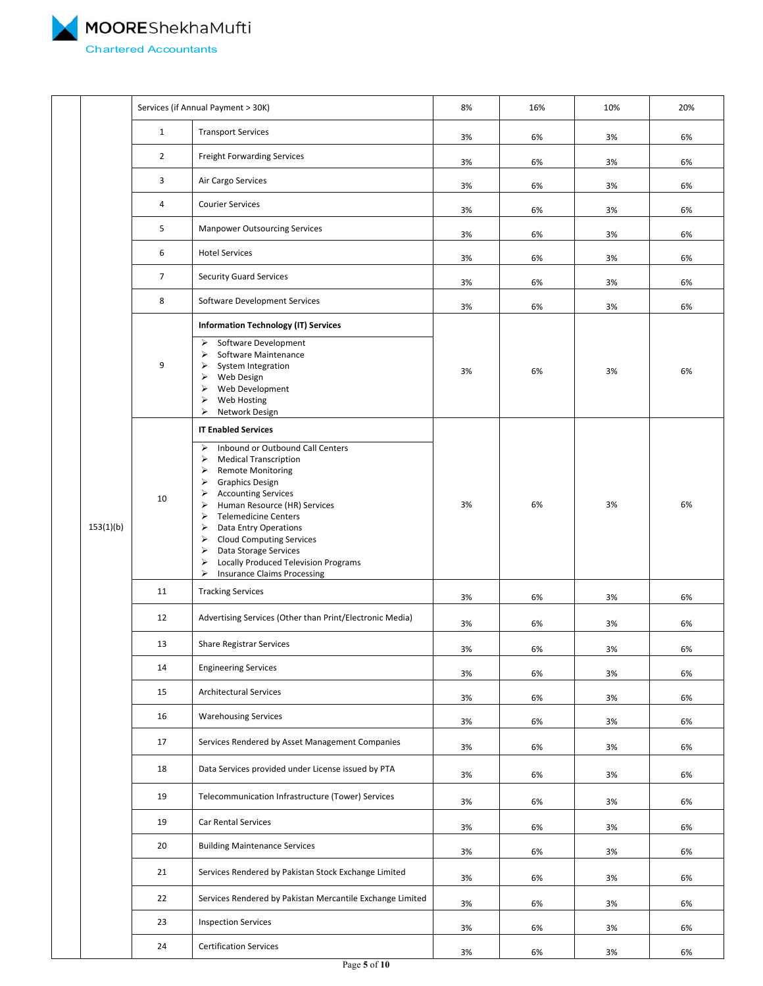MOOREShekhaMufti 4 Chartered Accountants

|           |                                  | Services (if Annual Payment > 30K)                                                                                                                                                                                                                                                                                                                                                                                                                                               | 8%    | 16% | 10%   | 20% |
|-----------|----------------------------------|----------------------------------------------------------------------------------------------------------------------------------------------------------------------------------------------------------------------------------------------------------------------------------------------------------------------------------------------------------------------------------------------------------------------------------------------------------------------------------|-------|-----|-------|-----|
|           | $\mathbf{1}$                     | <b>Transport Services</b>                                                                                                                                                                                                                                                                                                                                                                                                                                                        | 3%    | 6%  | 3%    | 6%  |
|           | $\overline{2}$                   | <b>Freight Forwarding Services</b>                                                                                                                                                                                                                                                                                                                                                                                                                                               | 3%    | 6%  | 3%    | 6%  |
|           | 3                                | Air Cargo Services                                                                                                                                                                                                                                                                                                                                                                                                                                                               | 3%    | 6%  | 3%    | 6%  |
|           | 4                                | <b>Courier Services</b>                                                                                                                                                                                                                                                                                                                                                                                                                                                          | 3%    | 6%  | 3%    | 6%  |
|           | 5                                | <b>Manpower Outsourcing Services</b>                                                                                                                                                                                                                                                                                                                                                                                                                                             | 3%    | 6%  | 3%    | 6%  |
|           | 6                                | <b>Hotel Services</b>                                                                                                                                                                                                                                                                                                                                                                                                                                                            | 3%    | 6%  | 3%    | 6%  |
|           | $\overline{7}$                   | <b>Security Guard Services</b>                                                                                                                                                                                                                                                                                                                                                                                                                                                   | 3%    | 6%  | 3%    | 6%  |
|           | 8                                | Software Development Services                                                                                                                                                                                                                                                                                                                                                                                                                                                    | 3%    | 6%  | 3%    | 6%  |
|           |                                  | <b>Information Technology (IT) Services</b>                                                                                                                                                                                                                                                                                                                                                                                                                                      |       |     |       |     |
| 153(1)(b) | 9                                | Software Development<br>⋗<br>Software Maintenance<br>⋗<br>System Integration<br>⋗<br>Web Design<br>⋗<br>Web Development<br>⋗<br>Web Hosting<br>➤<br>➤<br>Network Design                                                                                                                                                                                                                                                                                                          | 3%    | 6%  | 3%    | 6%  |
|           | 10                               | <b>IT Enabled Services</b><br>Inbound or Outbound Call Centers<br>➤<br><b>Medical Transcription</b><br>⋗<br><b>Remote Monitoring</b><br>⋗<br><b>Graphics Design</b><br>⋗<br><b>Accounting Services</b><br>⋗<br>Human Resource (HR) Services<br>⋗<br><b>Telemedicine Centers</b><br>⋗<br>Data Entry Operations<br>⋗<br><b>Cloud Computing Services</b><br>➤<br>Data Storage Services<br>⋗<br>Locally Produced Television Programs<br>➤<br>⋗<br><b>Insurance Claims Processing</b> | 3%    | 6%  | 3%    | 6%  |
|           | 11                               | <b>Tracking Services</b>                                                                                                                                                                                                                                                                                                                                                                                                                                                         | 3%    | 6%  | 3%    | 6%  |
|           | 12                               | Advertising Services (Other than Print/Electronic Media)                                                                                                                                                                                                                                                                                                                                                                                                                         | 3%    | 6%  | 3%    | 6%  |
|           | 13                               | <b>Share Registrar Services</b>                                                                                                                                                                                                                                                                                                                                                                                                                                                  | $3\%$ | 6%  | $3\%$ | 6%  |
|           | 14                               | <b>Engineering Services</b>                                                                                                                                                                                                                                                                                                                                                                                                                                                      | 3%    | 6%  | 3%    | 6%  |
|           | 15                               | <b>Architectural Services</b>                                                                                                                                                                                                                                                                                                                                                                                                                                                    | 3%    | 6%  | 3%    | 6%  |
|           | 16                               | <b>Warehousing Services</b>                                                                                                                                                                                                                                                                                                                                                                                                                                                      | 3%    | 6%  | 3%    | 6%  |
|           | 17                               | Services Rendered by Asset Management Companies                                                                                                                                                                                                                                                                                                                                                                                                                                  | 3%    | 6%  | 3%    | 6%  |
|           | 18                               | Data Services provided under License issued by PTA                                                                                                                                                                                                                                                                                                                                                                                                                               | 3%    | 6%  | 3%    | 6%  |
|           | 19                               | Telecommunication Infrastructure (Tower) Services                                                                                                                                                                                                                                                                                                                                                                                                                                | 3%    | 6%  | 3%    | 6%  |
|           | 19                               | Car Rental Services                                                                                                                                                                                                                                                                                                                                                                                                                                                              | 3%    | 6%  | 3%    | 6%  |
|           | 20                               | <b>Building Maintenance Services</b>                                                                                                                                                                                                                                                                                                                                                                                                                                             | 3%    | 6%  | 3%    | 6%  |
|           | 21                               | Services Rendered by Pakistan Stock Exchange Limited                                                                                                                                                                                                                                                                                                                                                                                                                             | 3%    | 6%  | 3%    | 6%  |
|           | 22                               | Services Rendered by Pakistan Mercantile Exchange Limited                                                                                                                                                                                                                                                                                                                                                                                                                        | 3%    | 6%  | 3%    | 6%  |
|           | 23<br><b>Inspection Services</b> |                                                                                                                                                                                                                                                                                                                                                                                                                                                                                  | 3%    | 6%  | 3%    | 6%  |
|           | 24                               | <b>Certification Services</b>                                                                                                                                                                                                                                                                                                                                                                                                                                                    | 3%    | 6%  | 3%    | 6%  |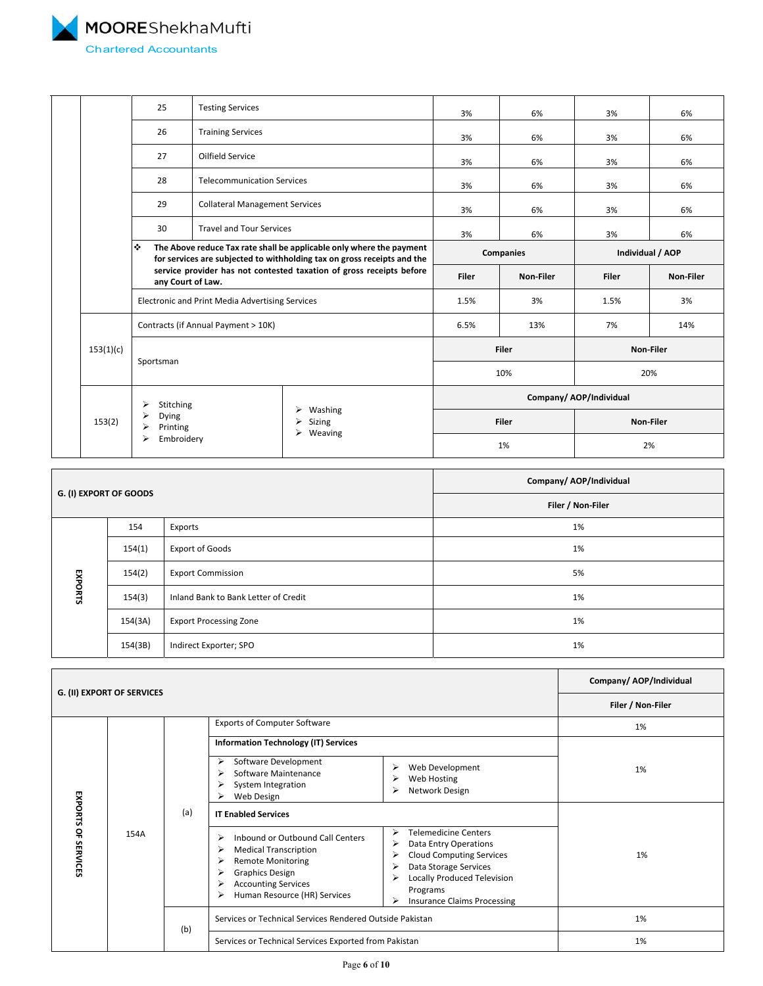<span id="page-5-0"></span>MOOREShekhaMufti Chartered Accountants

|           | 25                                                                                                                                                   | <b>Testing Services</b>                         |                                                                      | 3%               | 6%        | 3%                      | 6%        |  |
|-----------|------------------------------------------------------------------------------------------------------------------------------------------------------|-------------------------------------------------|----------------------------------------------------------------------|------------------|-----------|-------------------------|-----------|--|
|           | 26                                                                                                                                                   | <b>Training Services</b>                        |                                                                      | 3%               | 6%        | 3%                      | 6%        |  |
|           | 27                                                                                                                                                   | Oilfield Service                                |                                                                      | 3%               | 6%        | 3%                      | 6%        |  |
|           | 28                                                                                                                                                   | <b>Telecommunication Services</b>               |                                                                      | 3%               | 6%        | 3%                      | 6%        |  |
|           | 29                                                                                                                                                   | <b>Collateral Management Services</b>           |                                                                      | 3%               | 6%        | 3%                      | 6%        |  |
|           | 30                                                                                                                                                   | <b>Travel and Tour Services</b>                 |                                                                      | 3%               | 6%        | 3%                      | 6%        |  |
|           | ❖<br>The Above reduce Tax rate shall be applicable only where the payment<br>for services are subjected to withholding tax on gross receipts and the |                                                 |                                                                      | <b>Companies</b> |           | Individual / AOP        |           |  |
|           | any Court of Law.                                                                                                                                    |                                                 | service provider has not contested taxation of gross receipts before | <b>Filer</b>     | Non-Filer | <b>Filer</b>            | Non-Filer |  |
|           |                                                                                                                                                      | Electronic and Print Media Advertising Services |                                                                      | 1.5%             | 3%        | 1.5%                    | 3%        |  |
|           | Contracts (if Annual Payment > 10K)                                                                                                                  |                                                 |                                                                      | 6.5%             | 13%       | 7%                      | 14%       |  |
| 153(1)(c) |                                                                                                                                                      |                                                 |                                                                      |                  | Filer     |                         | Non-Filer |  |
|           | Sportsman                                                                                                                                            |                                                 |                                                                      | 10%              |           | 20%                     |           |  |
|           | Stitching                                                                                                                                            |                                                 |                                                                      |                  |           | Company/ AOP/Individual |           |  |
| 153(2)    | Dying<br>Printing                                                                                                                                    | Washing<br>Sizing                               | $\triangleright$ Weaving                                             | Filer            |           | Non-Filer               |           |  |
|           | Embroidery                                                                                                                                           |                                                 |                                                                      |                  | 1%        |                         | 2%        |  |

| G. (I) EXPORT OF GOODS |         |                                      | Company/ AOP/Individual |  |  |
|------------------------|---------|--------------------------------------|-------------------------|--|--|
|                        |         |                                      | Filer / Non-Filer       |  |  |
|                        | 154     | Exports                              | 1%                      |  |  |
|                        | 154(1)  | <b>Export of Goods</b>               | 1%                      |  |  |
|                        | 154(2)  | <b>Export Commission</b>             | 5%                      |  |  |
| EXPORTS                | 154(3)  | Inland Bank to Bank Letter of Credit | 1%                      |  |  |
|                        | 154(3A) | <b>Export Processing Zone</b>        | 1%                      |  |  |
|                        | 154(3B) | Indirect Exporter; SPO               | 1%                      |  |  |

|                      |                            | Company/ AOP/Individual |                                                                                                                                                                                                     |                                                                                                                                                                                                                                        |                   |
|----------------------|----------------------------|-------------------------|-----------------------------------------------------------------------------------------------------------------------------------------------------------------------------------------------------|----------------------------------------------------------------------------------------------------------------------------------------------------------------------------------------------------------------------------------------|-------------------|
|                      | G. (II) EXPORT OF SERVICES |                         |                                                                                                                                                                                                     |                                                                                                                                                                                                                                        | Filer / Non-Filer |
| EXPORTS              |                            |                         | <b>Exports of Computer Software</b>                                                                                                                                                                 |                                                                                                                                                                                                                                        | 1%                |
|                      |                            |                         | <b>Information Technology (IT) Services</b>                                                                                                                                                         |                                                                                                                                                                                                                                        |                   |
|                      |                            | (a)                     | Software Development<br>⋗<br>Software Maintenance<br>⋗<br>System Integration<br>Web Design                                                                                                          | Web Development<br>⋗<br>Web Hosting<br>Network Design<br>⋗                                                                                                                                                                             | 1%                |
|                      |                            |                         | <b>IT Enabled Services</b>                                                                                                                                                                          |                                                                                                                                                                                                                                        |                   |
| 윾<br><b>SERVICES</b> | 154A                       |                         | Inbound or Outbound Call Centers<br>⋗<br><b>Medical Transcription</b><br>⋗<br><b>Remote Monitoring</b><br><b>Graphics Design</b><br><b>Accounting Services</b><br>Human Resource (HR) Services<br>⋗ | <b>Telemedicine Centers</b><br>↘<br>Data Entry Operations<br>⋗<br><b>Cloud Computing Services</b><br>⋗<br>Data Storage Services<br>⋗<br><b>Locally Produced Television</b><br>⋗<br>Programs<br><b>Insurance Claims Processing</b><br>⋗ | 1%                |
|                      |                            | (b)                     | Services or Technical Services Rendered Outside Pakistan                                                                                                                                            |                                                                                                                                                                                                                                        | 1%                |
|                      |                            |                         | Services or Technical Services Exported from Pakistan                                                                                                                                               |                                                                                                                                                                                                                                        | 1%                |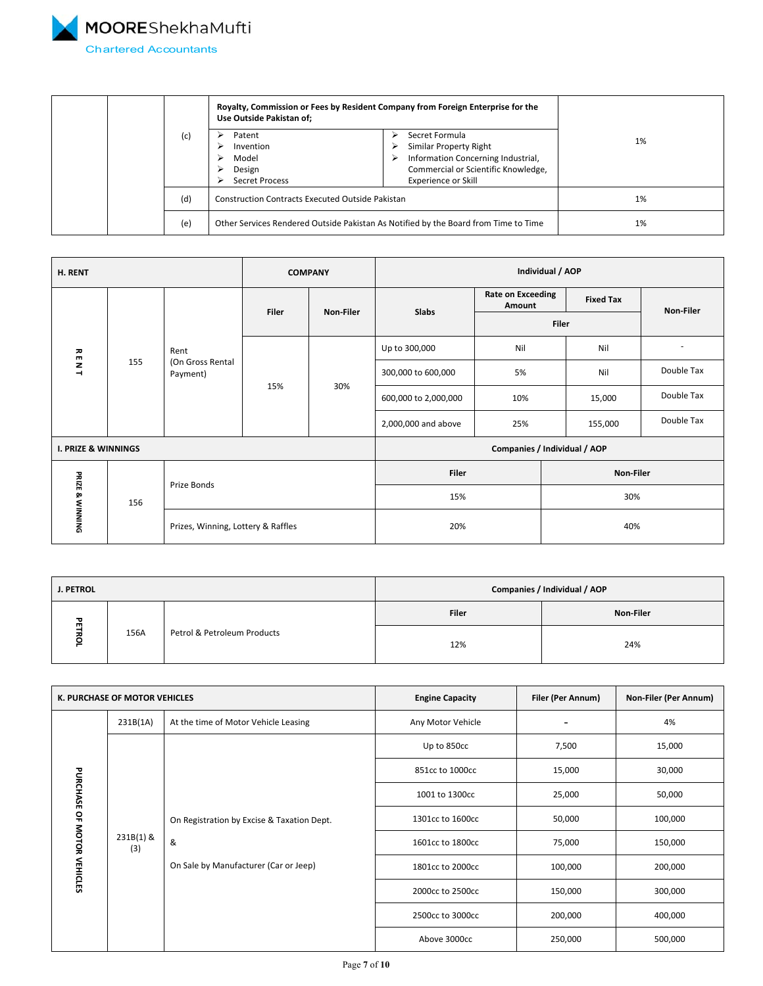<span id="page-6-0"></span>

|  |  |     | Royalty, Commission or Fees by Resident Company from Foreign Enterprise for the<br>Use Outside Pakistan of; |                                                                                                                                                               |    |
|--|--|-----|-------------------------------------------------------------------------------------------------------------|---------------------------------------------------------------------------------------------------------------------------------------------------------------|----|
|  |  | (c) | Patent<br>Invention<br>Model<br>Design<br><b>Secret Process</b>                                             | Secret Formula<br>⋗<br>Similar Property Right<br>Information Concerning Industrial,<br>⋗<br>Commercial or Scientific Knowledge,<br><b>Experience or Skill</b> | 1% |
|  |  | (d) | <b>Construction Contracts Executed Outside Pakistan</b>                                                     |                                                                                                                                                               | 1% |
|  |  | (e) |                                                                                                             | Other Services Rendered Outside Pakistan As Notified by the Board from Time to Time                                                                           | 1% |

| H. RENT                        |     | <b>COMPANY</b>                     |              | Individual / AOP |                      |                                    |       |                  |                          |
|--------------------------------|-----|------------------------------------|--------------|------------------|----------------------|------------------------------------|-------|------------------|--------------------------|
|                                |     |                                    | <b>Filer</b> | Non-Filer        | Slabs                | <b>Rate on Exceeding</b><br>Amount |       | <b>Fixed Tax</b> | Non-Filer                |
|                                |     |                                    |              |                  |                      |                                    | Filer |                  |                          |
|                                |     | Rent                               |              | 30%              | Up to 300,000        | Nil                                |       | Nil              | $\overline{\phantom{a}}$ |
| <b>RENT</b>                    | 155 | (On Gross Rental<br>Payment)       | 15%          |                  | 300,000 to 600,000   | 5%                                 |       | Nil              | Double Tax               |
|                                |     |                                    |              |                  | 600,000 to 2,000,000 | 10%                                |       | 15,000           | Double Tax               |
|                                |     |                                    |              |                  | 2,000,000 and above  | 25%                                |       | 155,000          | Double Tax               |
| <b>I. PRIZE &amp; WINNINGS</b> |     |                                    |              |                  |                      | Companies / Individual / AOP       |       |                  |                          |
|                                |     |                                    |              |                  | Filer                |                                    |       | Non-Filer        |                          |
| PRIZE & WINNING                | 156 | Prize Bonds                        |              | 15%              |                      |                                    | 30%   |                  |                          |
|                                |     | Prizes, Winning, Lottery & Raffles |              | 20%              |                      | 40%                                |       |                  |                          |

| J. PETROL |      | Companies / Individual / AOP |              |           |
|-----------|------|------------------------------|--------------|-----------|
| ᇃ         |      |                              | <b>Filer</b> | Non-Filer |
| п         | 156A | Petrol & Petroleum Products  | 12%          | 24%       |

| K. PURCHASE OF MOTOR VEHICLES |                  | <b>Engine Capacity</b>                                                                   | Filer (Per Annum) | Non-Filer (Per Annum) |         |
|-------------------------------|------------------|------------------------------------------------------------------------------------------|-------------------|-----------------------|---------|
|                               | 231B(1A)         | At the time of Motor Vehicle Leasing                                                     | Any Motor Vehicle |                       | 4%      |
|                               |                  |                                                                                          | Up to 850cc       | 7,500                 | 15,000  |
| PURCHASE OF MOTOR VEHICLES    |                  |                                                                                          | 851cc to 1000cc   | 15,000                | 30,000  |
|                               | 231B(1) &<br>(3) |                                                                                          | 1001 to 1300cc    | 25,000                | 50,000  |
|                               |                  | On Registration by Excise & Taxation Dept.<br>&<br>On Sale by Manufacturer (Car or Jeep) | 1301cc to 1600cc  | 50,000                | 100,000 |
|                               |                  |                                                                                          | 1601cc to 1800cc  | 75,000                | 150,000 |
|                               |                  |                                                                                          | 1801cc to 2000cc  | 100,000               | 200,000 |
|                               |                  |                                                                                          | 2000cc to 2500cc  | 150,000               | 300,000 |
|                               |                  |                                                                                          | 2500cc to 3000cc  | 200,000               | 400,000 |
|                               |                  |                                                                                          | Above 3000cc      | 250,000               | 500,000 |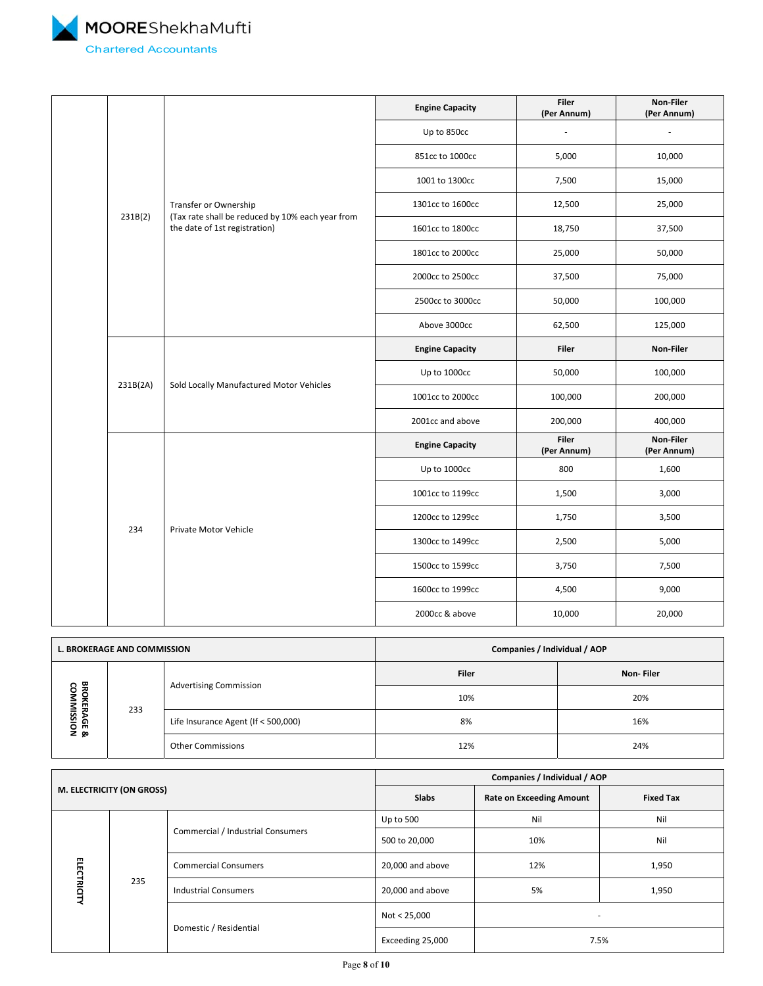<span id="page-7-0"></span>

|  |          |                                                                                   | <b>Engine Capacity</b> | <b>Filer</b><br>(Per Annum) | Non-Filer<br>(Per Annum) |
|--|----------|-----------------------------------------------------------------------------------|------------------------|-----------------------------|--------------------------|
|  |          |                                                                                   | Up to 850cc            |                             |                          |
|  |          |                                                                                   | 851cc to 1000cc        | 5,000                       | 10,000                   |
|  |          |                                                                                   | 1001 to 1300cc         | 7,500                       | 15,000                   |
|  |          | Transfer or Ownership                                                             | 1301cc to 1600cc       | 12,500                      | 25,000                   |
|  | 231B(2)  | (Tax rate shall be reduced by 10% each year from<br>the date of 1st registration) | 1601cc to 1800cc       | 18,750                      | 37,500                   |
|  |          |                                                                                   | 1801cc to 2000cc       | 25,000                      | 50,000                   |
|  |          |                                                                                   | 2000cc to 2500cc       | 37,500                      | 75,000                   |
|  |          |                                                                                   | 2500cc to 3000cc       | 50,000                      | 100,000                  |
|  |          |                                                                                   | Above 3000cc           | 62,500                      | 125,000                  |
|  | 231B(2A) | Sold Locally Manufactured Motor Vehicles                                          | <b>Engine Capacity</b> | <b>Filer</b>                | Non-Filer                |
|  |          |                                                                                   | Up to 1000cc           | 50,000                      | 100,000                  |
|  |          |                                                                                   | 1001cc to 2000cc       | 100,000                     | 200,000                  |
|  |          |                                                                                   | 2001cc and above       | 200,000                     | 400,000                  |
|  |          |                                                                                   | <b>Engine Capacity</b> | <b>Filer</b><br>(Per Annum) | Non-Filer<br>(Per Annum) |
|  |          |                                                                                   | Up to 1000cc           | 800                         | 1,600                    |
|  |          |                                                                                   | 1001cc to 1199cc       | 1,500                       | 3,000                    |
|  | 234      | Private Motor Vehicle                                                             | 1200cc to 1299cc       | 1,750                       | 3,500                    |
|  |          |                                                                                   | 1300cc to 1499cc       | 2,500                       | 5,000                    |
|  |          |                                                                                   | 1500cc to 1599cc       | 3,750                       | 7,500                    |
|  |          |                                                                                   | 1600cc to 1999cc       | 4,500                       | 9,000                    |
|  |          |                                                                                   | 2000cc & above         | 10,000                      | 20,000                   |

| <b>L. BROKERAGE AND COMMISSION</b>                        |     |                                     | Companies / Individual / AOP |           |  |
|-----------------------------------------------------------|-----|-------------------------------------|------------------------------|-----------|--|
|                                                           |     |                                     | <b>Filer</b>                 | Non-Filer |  |
| 男<br>8<br><b>OKER</b><br>≞<br><b>AGE &amp;<br/>ISSION</b> | 233 | <b>Advertising Commission</b>       | 10%                          | 20%       |  |
|                                                           |     | Life Insurance Agent (If < 500,000) | 8%                           | 16%       |  |
|                                                           |     | <b>Other Commissions</b>            | 12%                          | 24%       |  |

| M. ELECTRICITY (ON GROSS) |     | Companies / Individual / AOP      |                                 |                          |       |
|---------------------------|-----|-----------------------------------|---------------------------------|--------------------------|-------|
|                           |     | <b>Slabs</b>                      | <b>Rate on Exceeding Amount</b> | <b>Fixed Tax</b>         |       |
| <b>ELECTRICITY</b>        |     | Commercial / Industrial Consumers | Up to 500                       | Nil                      | Nil   |
|                           | 235 |                                   | 500 to 20,000                   | 10%                      | Nil   |
|                           |     | <b>Commercial Consumers</b>       | 20,000 and above                | 12%                      | 1,950 |
|                           |     | <b>Industrial Consumers</b>       | 20,000 and above                | 5%                       | 1,950 |
|                           |     |                                   | Not < 25,000                    | $\overline{\phantom{a}}$ |       |
|                           |     | Domestic / Residential            | Exceeding 25,000                |                          | 7.5%  |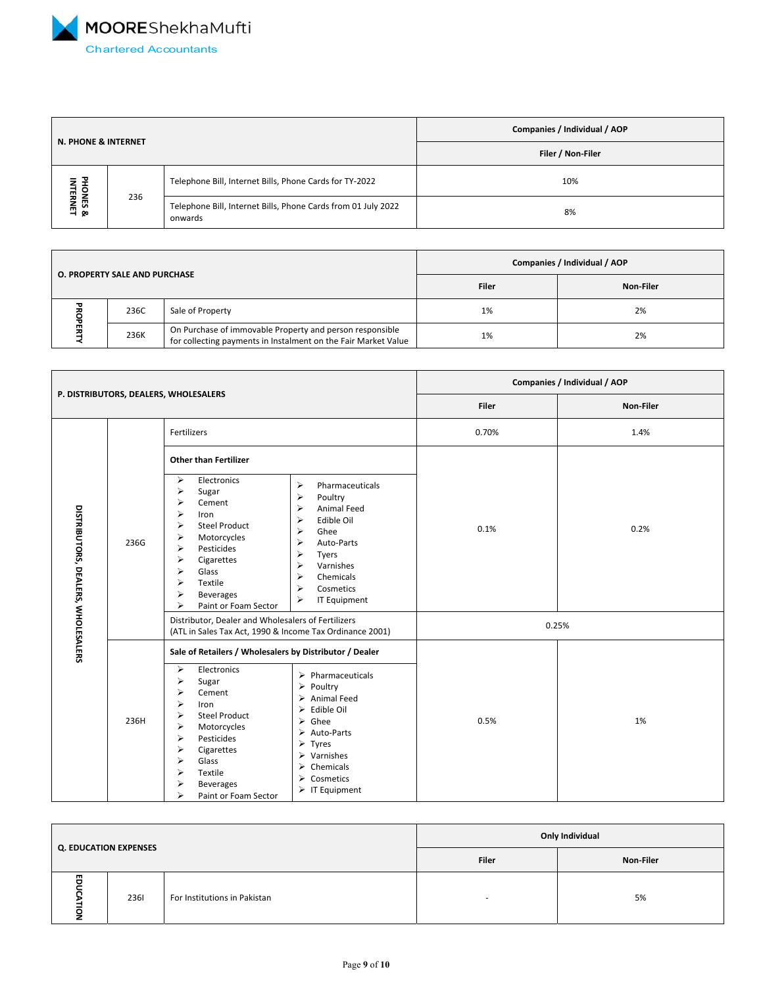<span id="page-8-0"></span>

|                                |     |                                                                          | Companies / Individual / AOP |  |
|--------------------------------|-----|--------------------------------------------------------------------------|------------------------------|--|
| <b>N. PHONE &amp; INTERNET</b> |     | Filer / Non-Filer                                                        |                              |  |
|                                | 236 | Telephone Bill, Internet Bills, Phone Cards for TY-2022                  | 10%                          |  |
| PHONES &<br>INTERNET           |     | Telephone Bill, Internet Bills, Phone Cards from 01 July 2022<br>onwards | 8%                           |  |

|                                      |      |                                                                                                                            | Companies / Individual / AOP |    |  |
|--------------------------------------|------|----------------------------------------------------------------------------------------------------------------------------|------------------------------|----|--|
| <b>O. PROPERTY SALE AND PURCHASE</b> |      | Filer                                                                                                                      | <b>Non-Filer</b>             |    |  |
|                                      | 236C | Sale of Property                                                                                                           | 1%                           | 2% |  |
|                                      | 236K | On Purchase of immovable Property and person responsible<br>for collecting payments in Instalment on the Fair Market Value | 1%                           | 2% |  |

| P. DISTRIBUTORS, DEALERS, WHOLESALERS |      |                                                                                                                                                                                                                                                                                                                                                                                                                                                                                                                                                                                  | Companies / Individual / AOP |           |  |
|---------------------------------------|------|----------------------------------------------------------------------------------------------------------------------------------------------------------------------------------------------------------------------------------------------------------------------------------------------------------------------------------------------------------------------------------------------------------------------------------------------------------------------------------------------------------------------------------------------------------------------------------|------------------------------|-----------|--|
|                                       |      |                                                                                                                                                                                                                                                                                                                                                                                                                                                                                                                                                                                  | Filer                        | Non-Filer |  |
|                                       |      | Fertilizers                                                                                                                                                                                                                                                                                                                                                                                                                                                                                                                                                                      | 0.70%                        | 1.4%      |  |
|                                       |      | <b>Other than Fertilizer</b>                                                                                                                                                                                                                                                                                                                                                                                                                                                                                                                                                     |                              |           |  |
| DISTRIBUTORS, DEALERS, WHOLESALERS    | 236G | $\blacktriangleright$<br>Electronics<br>⋗<br>Pharmaceuticals<br>⋗<br>Sugar<br>⋗<br>Poultry<br>⋗<br>Cement<br>$\blacktriangleright$<br>Animal Feed<br>⋗<br>Iron<br>⋗<br>Edible Oil<br>⋗<br><b>Steel Product</b><br>⋗<br>Ghee<br>⋗<br>Motorcycles<br>⋗<br>Auto-Parts<br>⋗<br>Pesticides<br>⋗<br>Tyers<br>⋗<br>Cigarettes<br>⋗<br>Varnishes<br>⋗<br>Glass<br>⋗<br>Chemicals<br>Textile<br>⋗<br>⋗<br>Cosmetics<br>⋗<br><b>Beverages</b><br>⋗<br>IT Equipment<br>⋗<br>Paint or Foam Sector                                                                                            | 0.1%                         | 0.2%      |  |
|                                       |      | Distributor, Dealer and Wholesalers of Fertilizers<br>(ATL in Sales Tax Act, 1990 & Income Tax Ordinance 2001)                                                                                                                                                                                                                                                                                                                                                                                                                                                                   | 0.25%                        |           |  |
|                                       | 236H | Sale of Retailers / Wholesalers by Distributor / Dealer<br>≻<br>Electronics<br>Pharmaceuticals<br>⋗<br>⋗<br>Sugar<br>Poultry<br>⋗<br>⋗<br>Cement<br>Animal Feed<br>⋗<br>⋗<br>Iron<br>Edible Oil<br>⋗<br>⋗<br><b>Steel Product</b><br>Ghee<br>⋗<br>⋗<br>Motorcycles<br>$\triangleright$ Auto-Parts<br>Pesticides<br>⋗<br>$\triangleright$ Tyres<br>⋗<br>Cigarettes<br>$\triangleright$ Varnishes<br>⋗<br>Glass<br>$\triangleright$ Chemicals<br>⋗<br>Textile<br>$\triangleright$ Cosmetics<br>⋗<br><b>Beverages</b><br>$\triangleright$ IT Equipment<br>⋗<br>Paint or Foam Sector | 0.5%                         | 1%        |  |

| <b>Q. EDUCATION EXPENSES</b> |      |                              | Only Individual |    |  |
|------------------------------|------|------------------------------|-----------------|----|--|
|                              |      | Filer                        | Non-Filer       |    |  |
| 罒                            | 2361 | For Institutions in Pakistan |                 | 5% |  |